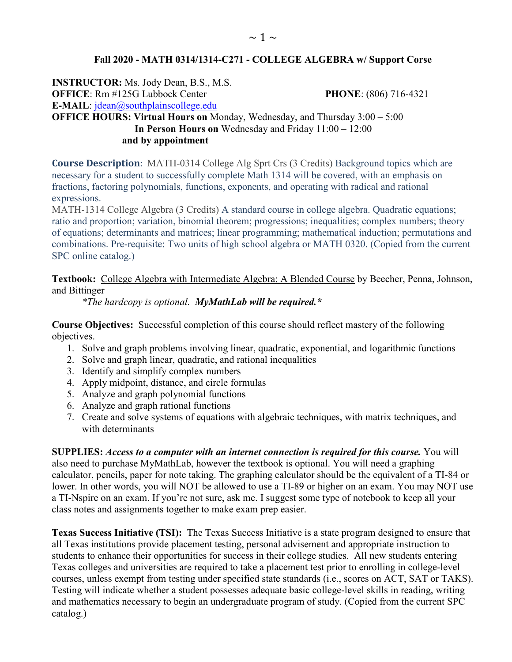### **Fall 2020 - MATH 0314/1314-C271 - COLLEGE ALGEBRA w/ Support Corse**

**INSTRUCTOR:** Ms. Jody Dean, B.S., M.S. **OFFICE**: Rm #125G Lubbock Center **PHONE**: (806) 716-4321 **E-MAIL**: [jdean@southplainscollege.edu](mailto:jdean@southplainscollege.edu)  **OFFICE HOURS: Virtual Hours on** Monday, Wednesday, and Thursday 3:00 – 5:00  **In Person Hours on** Wednesday and Friday 11:00 – 12:00 **and by appointment**

**Course Description**: MATH-0314 College Alg Sprt Crs (3 Credits) Background topics which are necessary for a student to successfully complete Math 1314 will be covered, with an emphasis on fractions, factoring polynomials, functions, exponents, and operating with radical and rational expressions.

MATH-1314 College Algebra (3 Credits) A standard course in college algebra. Quadratic equations; ratio and proportion; variation, binomial theorem; progressions; inequalities; complex numbers; theory of equations; determinants and matrices; linear programming; mathematical induction; permutations and combinations. Pre-requisite: Two units of high school algebra or MATH 0320. (Copied from the current SPC online catalog.)

#### **Textbook:** College Algebra with Intermediate Algebra: A Blended Course by Beecher, Penna, Johnson, and Bittinger

*\*The hardcopy is optional. MyMathLab will be required.\**

**Course Objectives:** Successful completion of this course should reflect mastery of the following objectives.

- 1. Solve and graph problems involving linear, quadratic, exponential, and logarithmic functions
- 2. Solve and graph linear, quadratic, and rational inequalities
- 3. Identify and simplify complex numbers
- 4. Apply midpoint, distance, and circle formulas
- 5. Analyze and graph polynomial functions
- 6. Analyze and graph rational functions
- 7. Create and solve systems of equations with algebraic techniques, with matrix techniques, and with determinants

**SUPPLIES:** *Access to a computer with an internet connection is required for this course.* You will also need to purchase MyMathLab, however the textbook is optional. You will need a graphing calculator, pencils, paper for note taking. The graphing calculator should be the equivalent of a TI-84 or lower. In other words, you will NOT be allowed to use a TI-89 or higher on an exam. You may NOT use a TI-Nspire on an exam. If you're not sure, ask me. I suggest some type of notebook to keep all your class notes and assignments together to make exam prep easier.

**Texas Success Initiative (TSI):** The Texas Success Initiative is a state program designed to ensure that all Texas institutions provide placement testing, personal advisement and appropriate instruction to students to enhance their opportunities for success in their college studies. All new students entering Texas colleges and universities are required to take a placement test prior to enrolling in college-level courses, unless exempt from testing under specified state standards (i.e., scores on ACT, SAT or TAKS). Testing will indicate whether a student possesses adequate basic college-level skills in reading, writing and mathematics necessary to begin an undergraduate program of study. (Copied from the current SPC catalog.)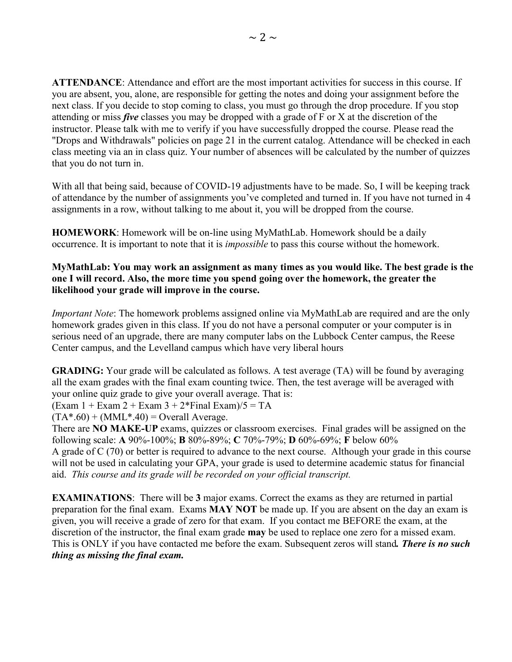**ATTENDANCE**: Attendance and effort are the most important activities for success in this course. If you are absent, you, alone, are responsible for getting the notes and doing your assignment before the next class. If you decide to stop coming to class, you must go through the drop procedure. If you stop attending or miss *five* classes you may be dropped with a grade of F or X at the discretion of the instructor. Please talk with me to verify if you have successfully dropped the course. Please read the "Drops and Withdrawals" policies on page 21 in the current catalog. Attendance will be checked in each class meeting via an in class quiz. Your number of absences will be calculated by the number of quizzes that you do not turn in.

With all that being said, because of COVID-19 adjustments have to be made. So, I will be keeping track of attendance by the number of assignments you've completed and turned in. If you have not turned in 4 assignments in a row, without talking to me about it, you will be dropped from the course.

**HOMEWORK**: Homework will be on-line using MyMathLab. Homework should be a daily occurrence. It is important to note that it is *impossible* to pass this course without the homework.

### **MyMathLab: You may work an assignment as many times as you would like. The best grade is the one I will record. Also, the more time you spend going over the homework, the greater the likelihood your grade will improve in the course.**

*Important Note*: The homework problems assigned online via MyMathLab are required and are the only homework grades given in this class. If you do not have a personal computer or your computer is in serious need of an upgrade, there are many computer labs on the Lubbock Center campus, the Reese Center campus, and the Levelland campus which have very liberal hours

**GRADING:** Your grade will be calculated as follows. A test average (TA) will be found by averaging all the exam grades with the final exam counting twice. Then, the test average will be averaged with your online quiz grade to give your overall average. That is:

 $(Exam 1 + Exam 2 + Exam 3 + 2*Final Exam)/5 = TA$ 

 $(TA^* . 60) + (MML^* . 40) = Overall Average.$ 

There are **NO MAKE-UP** exams, quizzes or classroom exercises. Final grades will be assigned on the following scale: **A** 90%-100%; **B** 80%-89%; **C** 70%-79%; **D** 60%-69%; **F** below 60%

A grade of C (70) or better is required to advance to the next course. Although your grade in this course will not be used in calculating your GPA, your grade is used to determine academic status for financial aid. *This course and its grade will be recorded on your official transcript.*

**EXAMINATIONS**: There will be **3** major exams. Correct the exams as they are returned in partial preparation for the final exam. Exams **MAY NOT** be made up. If you are absent on the day an exam is given, you will receive a grade of zero for that exam. If you contact me BEFORE the exam, at the discretion of the instructor, the final exam grade **may** be used to replace one zero for a missed exam. This is ONLY if you have contacted me before the exam. Subsequent zeros will stand*. There is no such thing as missing the final exam.*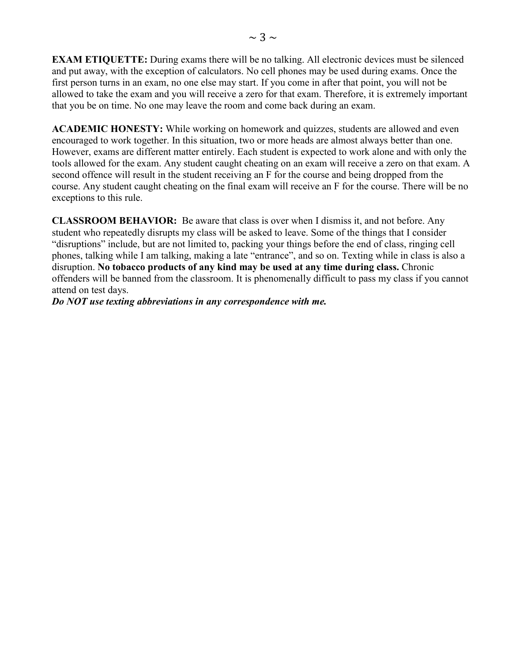**EXAM ETIQUETTE:** During exams there will be no talking. All electronic devices must be silenced and put away, with the exception of calculators. No cell phones may be used during exams. Once the first person turns in an exam, no one else may start. If you come in after that point, you will not be allowed to take the exam and you will receive a zero for that exam. Therefore, it is extremely important that you be on time. No one may leave the room and come back during an exam.

**ACADEMIC HONESTY:** While working on homework and quizzes, students are allowed and even encouraged to work together. In this situation, two or more heads are almost always better than one. However, exams are different matter entirely. Each student is expected to work alone and with only the tools allowed for the exam. Any student caught cheating on an exam will receive a zero on that exam. A second offence will result in the student receiving an F for the course and being dropped from the course. Any student caught cheating on the final exam will receive an F for the course. There will be no exceptions to this rule.

**CLASSROOM BEHAVIOR:** Be aware that class is over when I dismiss it, and not before. Any student who repeatedly disrupts my class will be asked to leave. Some of the things that I consider "disruptions" include, but are not limited to, packing your things before the end of class, ringing cell phones, talking while I am talking, making a late "entrance", and so on. Texting while in class is also a disruption. **No tobacco products of any kind may be used at any time during class.** Chronic offenders will be banned from the classroom. It is phenomenally difficult to pass my class if you cannot attend on test days.

*Do NOT use texting abbreviations in any correspondence with me.*